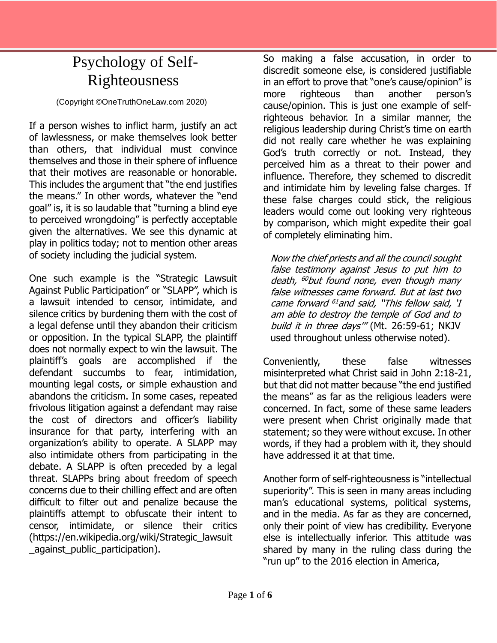## Psychology of Self-Righteousness

(Copyright ©OneTruthOneLaw.com 2020)

If a person wishes to inflict harm, justify an act of lawlessness, or make themselves look better than others, that individual must convince themselves and those in their sphere of influence that their motives are reasonable or honorable. This includes the argument that "the end justifies the means." In other words, whatever the "end goal" is, it is so laudable that "turning a blind eye to perceived wrongdoing" is perfectly acceptable given the alternatives. We see this dynamic at play in politics today; not to mention other areas of society including the judicial system.

One such example is the "Strategic Lawsuit Against Public Participation" or "SLAPP", which is a lawsuit intended to censor, intimidate, and silence critics by burdening them with the cost of a legal defense until they abandon their criticism or opposition. In the typical SLAPP, the plaintiff does not normally expect to win the lawsuit. The plaintiff's goals are accomplished if the defendant succumbs to fear, intimidation, mounting legal costs, or simple exhaustion and abandons the criticism. In some cases, repeated frivolous litigation against a defendant may raise the cost of directors and officer's liability insurance for that party, interfering with an organization's ability to operate. A SLAPP may also intimidate others from participating in the debate. A SLAPP is often preceded by a legal threat. SLAPPs bring about freedom of speech concerns due to their chilling effect and are often difficult to filter out and penalize because the plaintiffs attempt to obfuscate their intent to censor, intimidate, or silence their critics (https://en.wikipedia.org/wiki/Strategic\_lawsuit \_against\_public\_participation).

So making a false accusation, in order to discredit someone else, is considered justifiable in an effort to prove that "one's cause/opinion" is more righteous than another person's cause/opinion. This is just one example of selfrighteous behavior. In a similar manner, the religious leadership during Christ's time on earth did not really care whether he was explaining God's truth correctly or not. Instead, they perceived him as a threat to their power and influence. Therefore, they schemed to discredit and intimidate him by leveling false charges. If these false charges could stick, the religious leaders would come out looking very righteous by comparison, which might expedite their goal of completely eliminating him.

Now the chief priests and all the council sought false testimony against Jesus to put him to death, <sup>60</sup>but found none, even though many false witnesses came forward. But at last two came forward <sup>61</sup> and said, "This fellow said, 'I am able to destroy the temple of God and to build it in three days" (Mt. 26:59-61; NKJV used throughout unless otherwise noted).

Conveniently, these false witnesses misinterpreted what Christ said in John 2:18-21, but that did not matter because "the end justified the means" as far as the religious leaders were concerned. In fact, some of these same leaders were present when Christ originally made that statement; so they were without excuse. In other words, if they had a problem with it, they should have addressed it at that time.

Another form of self-righteousness is "intellectual superiority". This is seen in many areas including man's educational systems, political systems, and in the media. As far as they are concerned, only their point of view has credibility. Everyone else is intellectually inferior. This attitude was shared by many in the ruling class during the "run up" to the 2016 election in America,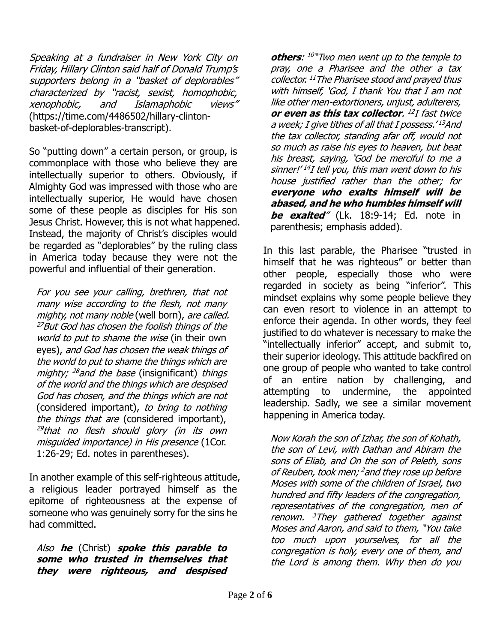Speaking at a fundraiser in New York City on Friday, Hillary Clinton said half of Donald Trump's supporters belong in a "basket of deplorables" characterized by "racist, sexist, homophobic, xenophobic, and Islamaphobic views" (https://time.com/4486502/hillary-clintonbasket-of-deplorables-transcript).

So "putting down" a certain person, or group, is commonplace with those who believe they are intellectually superior to others. Obviously, if Almighty God was impressed with those who are intellectually superior, He would have chosen some of these people as disciples for His son Jesus Christ. However, this is not what happened. Instead, the majority of Christ's disciples would be regarded as "deplorables" by the ruling class in America today because they were not the powerful and influential of their generation.

For you see your calling, brethren, that not many wise according to the flesh, not many mighty, not many noble (well born), are called. <sup>27</sup>But God has chosen the foolish things of the world to put to shame the wise (in their own eyes), and God has chosen the weak things of the world to put to shame the things which are mighty; <sup>28</sup>and the base (insignificant) things of the world and the things which are despised God has chosen, and the things which are not (considered important), to bring to nothing the things that are (considered important), <sup>29</sup>that no flesh should glory (in its own misguided importance) in His presence (1Cor. 1:26-29; Ed. notes in parentheses).

In another example of this self-righteous attitude, a religious leader portrayed himself as the epitome of righteousness at the expense of someone who was genuinely sorry for the sins he had committed.

Also **he** (Christ) **spoke this parable to some who trusted in themselves that they were righteous, and despised** 

**others**: 10 "Two men went up to the temple to pray, one a Pharisee and the other a tax collector. <sup>11</sup>The Pharisee stood and prayed thus with himself, 'God, I thank You that I am not like other men-extortioners, unjust, adulterers, **or even as this tax collector**. 12 I fast twice a week; I give tithes of all that I possess.' <sup>13</sup>And the tax collector, standing afar off, would not so much as raise his eyes to heaven, but beat his breast, saying, 'God be merciful to me a sinner!' 14 I tell you, this man went down to his house justified rather than the other; for **everyone who exalts himself will be abased, and he who humbles himself will be exalted**" (Lk. 18:9-14; Ed. note in parenthesis; emphasis added).

In this last parable, the Pharisee "trusted in himself that he was righteous" or better than other people, especially those who were regarded in society as being "inferior". This mindset explains why some people believe they can even resort to violence in an attempt to enforce their agenda. In other words, they feel justified to do whatever is necessary to make the "intellectually inferior" accept, and submit to, their superior ideology. This attitude backfired on one group of people who wanted to take control of an entire nation by challenging, and attempting to undermine, the appointed leadership. Sadly, we see a similar movement happening in America today.

Now Korah the son of Izhar, the son of Kohath, the son of Levi, with Dathan and Abiram the sons of Eliab, and On the son of Peleth, sons of Reuben, took men; <sup>2</sup> and they rose up before Moses with some of the children of Israel, two hundred and fifty leaders of the congregation, representatives of the congregation, men of renown. <sup>3</sup>They gathered together against Moses and Aaron, and said to them, "You take too much upon yourselves, for all the congregation is holy, every one of them, and the Lord is among them. Why then do you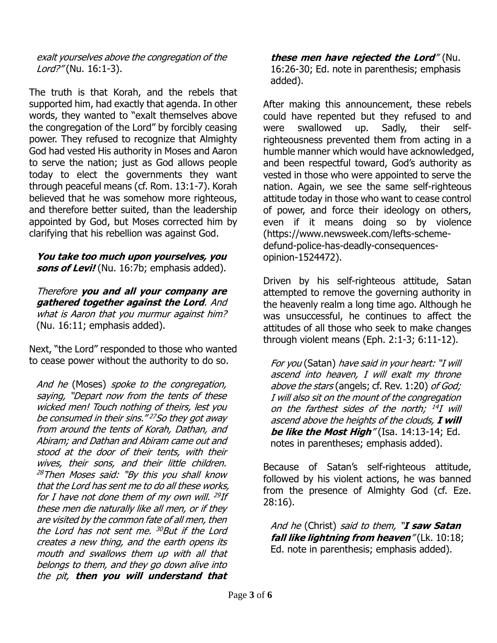## exalt yourselves above the congregation of the Lord?" (Nu. 16:1-3).

The truth is that Korah, and the rebels that supported him, had exactly that agenda. In other words, they wanted to "exalt themselves above the congregation of the Lord" by forcibly ceasing power. They refused to recognize that Almighty God had vested His authority in Moses and Aaron to serve the nation; just as God allows people today to elect the governments they want through peaceful means (cf. Rom. 13:1-7). Korah believed that he was somehow more righteous, and therefore better suited, than the leadership appointed by God, but Moses corrected him by clarifying that his rebellion was against God.

## **You take too much upon yourselves, you sons of Levi!** (Nu. 16:7b; emphasis added).

Therefore **you and all your company are gathered together against the Lord**. And what is Aaron that you murmur against him? (Nu. 16:11; emphasis added).

Next, "the Lord" responded to those who wanted to cease power without the authority to do so.

And he (Moses) spoke to the congregation, saying, "Depart now from the tents of these wicked men! Touch nothing of theirs, lest you be consumed in their sins." <sup>27</sup>So they got away from around the tents of Korah, Dathan, and Abiram; and Dathan and Abiram came out and stood at the door of their tents, with their wives, their sons, and their little children.  $28$ Then Moses said: "By this you shall know that the Lord has sent me to do all these works, for I have not done them of my own will. <sup>29</sup>If these men die naturally like all men, or if they are visited by the common fate of all men, then the Lord has not sent me. <sup>30</sup>But if the Lord creates a new thing, and the earth opens its mouth and swallows them up with all that belongs to them, and they go down alive into the pit, **then you will understand that** 

**these men have rejected the Lord**" (Nu. 16:26-30; Ed. note in parenthesis; emphasis added).

After making this announcement, these rebels could have repented but they refused to and were swallowed up. Sadly, their selfrighteousness prevented them from acting in a humble manner which would have acknowledged, and been respectful toward, God's authority as vested in those who were appointed to serve the nation. Again, we see the same self-righteous attitude today in those who want to cease control of power, and force their ideology on others, even if it means doing so by violence (https://www.newsweek.com/lefts-schemedefund-police-has-deadly-consequencesopinion-1524472).

Driven by his self-righteous attitude, Satan attempted to remove the governing authority in the heavenly realm a long time ago. Although he was unsuccessful, he continues to affect the attitudes of all those who seek to make changes through violent means (Eph. 2:1-3; 6:11-12).

For you (Satan) have said in your heart: "I will ascend into heaven, I will exalt my throne above the stars (angels; cf. Rev. 1:20) of God; I will also sit on the mount of the congregation on the farthest sides of the north; <sup>14</sup>I will ascend above the heights of the clouds, **I will**  *be like the Most High*" (Isa. 14:13-14; Ed. notes in parentheses; emphasis added).

Because of Satan's self-righteous attitude, followed by his violent actions, he was banned from the presence of Almighty God (cf. Eze. 28:16).

And he (Christ) said to them, "**I saw Satan fall like lightning from heaven**" (Lk. 10:18; Ed. note in parenthesis; emphasis added).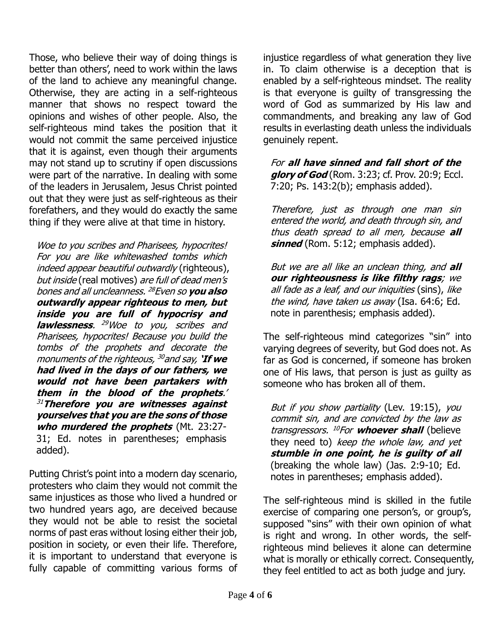Those, who believe their way of doing things is better than others', need to work within the laws of the land to achieve any meaningful change. Otherwise, they are acting in a self-righteous manner that shows no respect toward the opinions and wishes of other people. Also, the self-righteous mind takes the position that it would not commit the same perceived injustice that it is against, even though their arguments may not stand up to scrutiny if open discussions were part of the narrative. In dealing with some of the leaders in Jerusalem, Jesus Christ pointed out that they were just as self-righteous as their forefathers, and they would do exactly the same thing if they were alive at that time in history.

Woe to you scribes and Pharisees, hypocrites! For you are like whitewashed tombs which indeed appear beautiful outwardly (righteous), but inside (real motives) are full of dead men's bones and all uncleanness. <sup>28</sup>Even so **you also outwardly appear righteous to men, but inside you are full of hypocrisy and lawlessness**. <sup>29</sup>Woe to you, scribes and Pharisees, hypocrites! Because you build the tombs of the prophets and decorate the monuments of the righteous, <sup>30</sup> and say, **'If we had lived in the days of our fathers, we would not have been partakers with them in the blood of the prophets**.' <sup>31</sup>**Therefore you are witnesses against yourselves that you are the sons of those who murdered the prophets** (Mt. 23:27- 31; Ed. notes in parentheses; emphasis added).

Putting Christ's point into a modern day scenario, protesters who claim they would not commit the same injustices as those who lived a hundred or two hundred years ago, are deceived because they would not be able to resist the societal norms of past eras without losing either their job, position in society, or even their life. Therefore, it is important to understand that everyone is fully capable of committing various forms of injustice regardless of what generation they live in. To claim otherwise is a deception that is enabled by a self-righteous mindset. The reality is that everyone is guilty of transgressing the word of God as summarized by His law and commandments, and breaking any law of God results in everlasting death unless the individuals genuinely repent.

For **all have sinned and fall short of the glory of God** (Rom. 3:23; cf. Prov. 20:9; Eccl. 7:20; Ps. 143:2(b); emphasis added).

Therefore, just as through one man sin entered the world, and death through sin, and thus death spread to all men, because **all sinned** (Rom. 5:12; emphasis added).

But we are all like an unclean thing, and **all our righteousness is like filthy rags**; we all fade as a leaf, and our iniquities (sins), like the wind, have taken us away (Isa. 64:6; Ed. note in parenthesis; emphasis added).

The self-righteous mind categorizes "sin" into varying degrees of severity, but God does not. As far as God is concerned, if someone has broken one of His laws, that person is just as guilty as someone who has broken all of them.

But if you show partiality (Lev. 19:15), you commit sin, and are convicted by the law as transgressors. <sup>10</sup>For **whoever shall** (believe they need to) keep the whole law, and yet **stumble in one point, he is guilty of all** (breaking the whole law) (Jas. 2:9-10; Ed. notes in parentheses; emphasis added).

The self-righteous mind is skilled in the futile exercise of comparing one person's, or group's, supposed "sins" with their own opinion of what is right and wrong. In other words, the selfrighteous mind believes it alone can determine what is morally or ethically correct. Consequently, they feel entitled to act as both judge and jury.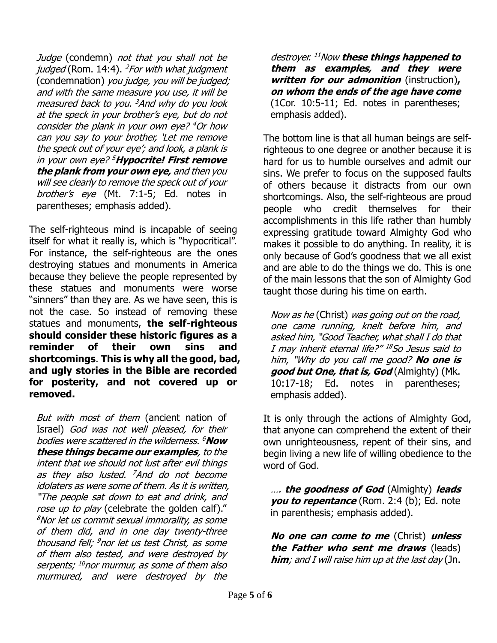Judge (condemn) not that you shall not be judged (Rom. 14:4).  $^{2}$ For with what judgment (condemnation) you judge, you will be judged; and with the same measure you use, it will be measured back to you. <sup>3</sup>And why do you look at the speck in your brother's eye, but do not consider the plank in your own eye? <sup>4</sup>Or how can you say to your brother, 'Let me remove the speck out of your eye'; and look, a plank is in your own eye? <sup>5</sup>**Hypocrite! First remove the plank from your own eye,** and then you will see clearly to remove the speck out of your brother's eye (Mt. 7:1-5; Ed. notes in parentheses; emphasis added).

The self-righteous mind is incapable of seeing itself for what it really is, which is "hypocritical". For instance, the self-righteous are the ones destroying statues and monuments in America because they believe the people represented by these statues and monuments were worse "sinners" than they are. As we have seen, this is not the case. So instead of removing these statues and monuments, **the self-righteous should consider these historic figures as a reminder of their own sins and shortcomings**. **This is why all the good, bad, and ugly stories in the Bible are recorded for posterity, and not covered up or removed.**

But with most of them (ancient nation of Israel) God was not well pleased, for their bodies were scattered in the wilderness. <sup>6</sup>**Now these things became our examples**, to the intent that we should not lust after evil things as they also lusted. <sup>7</sup>And do not become idolaters as were some of them. As it is written, "The people sat down to eat and drink, and rose up to play (celebrate the golden calf)." <sup>8</sup>Nor let us commit sexual immorality, as some of them did, and in one day twenty-three thousand fell; <sup>9</sup>nor let us test Christ, as some of them also tested, and were destroyed by serpents; <sup>10</sup>nor murmur, as some of them also murmured, and were destroyed by the

destroyer. <sup>11</sup>Now **these things happened to them as examples, and they were written for our admonition** (instruction)**, on whom the ends of the age have come** (1Cor. 10:5-11; Ed. notes in parentheses; emphasis added).

The bottom line is that all human beings are selfrighteous to one degree or another because it is hard for us to humble ourselves and admit our sins. We prefer to focus on the supposed faults of others because it distracts from our own shortcomings. Also, the self-righteous are proud people who credit themselves for their accomplishments in this life rather than humbly expressing gratitude toward Almighty God who makes it possible to do anything. In reality, it is only because of God's goodness that we all exist and are able to do the things we do. This is one of the main lessons that the son of Almighty God taught those during his time on earth.

Now as he (Christ) was going out on the road, one came running, knelt before him, and asked him, "Good Teacher, what shall I do that I may inherit eternal life?" <sup>18</sup>So Jesus said to him, "Why do you call me good? **No one is good but One, that is, God** (Almighty) (Mk. 10:17-18; Ed. notes in parentheses; emphasis added).

It is only through the actions of Almighty God, that anyone can comprehend the extent of their own unrighteousness, repent of their sins, and begin living a new life of willing obedience to the word of God.

…. **the goodness of God** (Almighty) **leads you to repentance** (Rom. 2:4 (b); Ed. note in parenthesis; emphasis added).

**No one can come to me** (Christ) **unless the Father who sent me draws** (leads) **him**; and I will raise him up at the last day (Jn.